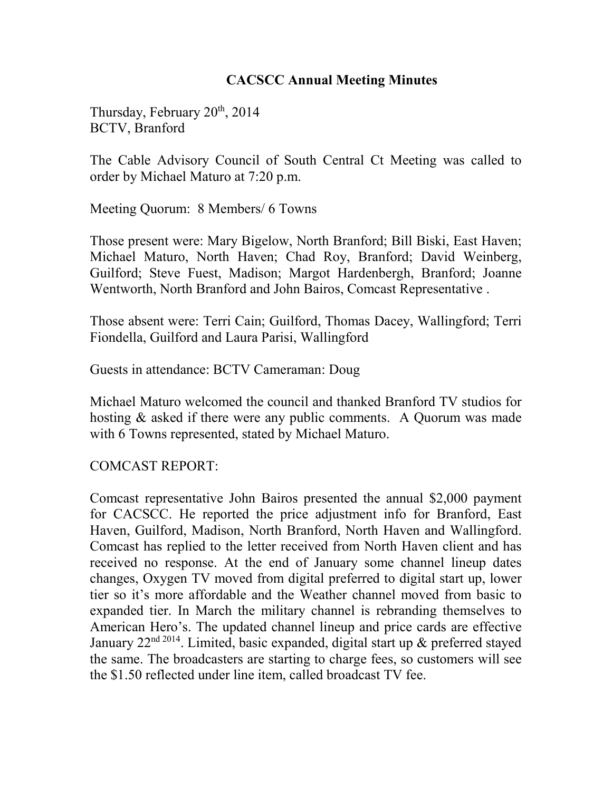## **CACSCC Annual Meeting Minutes**

Thursday, February  $20<sup>th</sup>$ ,  $2014$ BCTV, Branford

The Cable Advisory Council of South Central Ct Meeting was called to order by Michael Maturo at 7:20 p.m.

Meeting Quorum: 8 Members/ 6 Towns

Those present were: Mary Bigelow, North Branford; Bill Biski, East Haven; Michael Maturo, North Haven; Chad Roy, Branford; David Weinberg, Guilford; Steve Fuest, Madison; Margot Hardenbergh, Branford; Joanne Wentworth, North Branford and John Bairos, Comcast Representative .

Those absent were: Terri Cain; Guilford, Thomas Dacey, Wallingford; Terri Fiondella, Guilford and Laura Parisi, Wallingford

Guests in attendance: BCTV Cameraman: Doug

Michael Maturo welcomed the council and thanked Branford TV studios for hosting & asked if there were any public comments. A Quorum was made with 6 Towns represented, stated by Michael Maturo.

COMCAST REPORT:

Comcast representative John Bairos presented the annual \$2,000 payment for CACSCC. He reported the price adjustment info for Branford, East Haven, Guilford, Madison, North Branford, North Haven and Wallingford. Comcast has replied to the letter received from North Haven client and has received no response. At the end of January some channel lineup dates changes, Oxygen TV moved from digital preferred to digital start up, lower tier so it's more affordable and the Weather channel moved from basic to expanded tier. In March the military channel is rebranding themselves to American Hero's. The updated channel lineup and price cards are effective January  $22<sup>nd 2014</sup>$ . Limited, basic expanded, digital start up  $\&$  preferred stayed the same. The broadcasters are starting to charge fees, so customers will see the \$1.50 reflected under line item, called broadcast TV fee.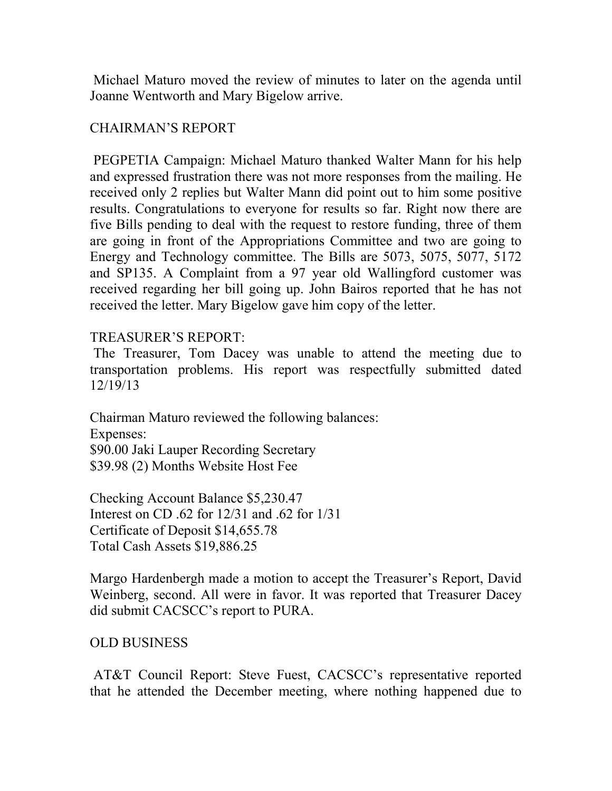Michael Maturo moved the review of minutes to later on the agenda until Joanne Wentworth and Mary Bigelow arrive.

## CHAIRMAN'S REPORT

 PEGPETIA Campaign: Michael Maturo thanked Walter Mann for his help and expressed frustration there was not more responses from the mailing. He received only 2 replies but Walter Mann did point out to him some positive results. Congratulations to everyone for results so far. Right now there are five Bills pending to deal with the request to restore funding, three of them are going in front of the Appropriations Committee and two are going to Energy and Technology committee. The Bills are 5073, 5075, 5077, 5172 and SP135. A Complaint from a 97 year old Wallingford customer was received regarding her bill going up. John Bairos reported that he has not received the letter. Mary Bigelow gave him copy of the letter.

### TREASURER'S REPORT:

 The Treasurer, Tom Dacey was unable to attend the meeting due to transportation problems. His report was respectfully submitted dated 12/19/13

Chairman Maturo reviewed the following balances: Expenses: \$90.00 Jaki Lauper Recording Secretary \$39.98 (2) Months Website Host Fee

Checking Account Balance \$5,230.47 Interest on CD .62 for 12/31 and .62 for 1/31 Certificate of Deposit \$14,655.78 Total Cash Assets \$19,886.25

Margo Hardenbergh made a motion to accept the Treasurer's Report, David Weinberg, second. All were in favor. It was reported that Treasurer Dacey did submit CACSCC's report to PURA.

#### OLD BUSINESS

 AT&T Council Report: Steve Fuest, CACSCC's representative reported that he attended the December meeting, where nothing happened due to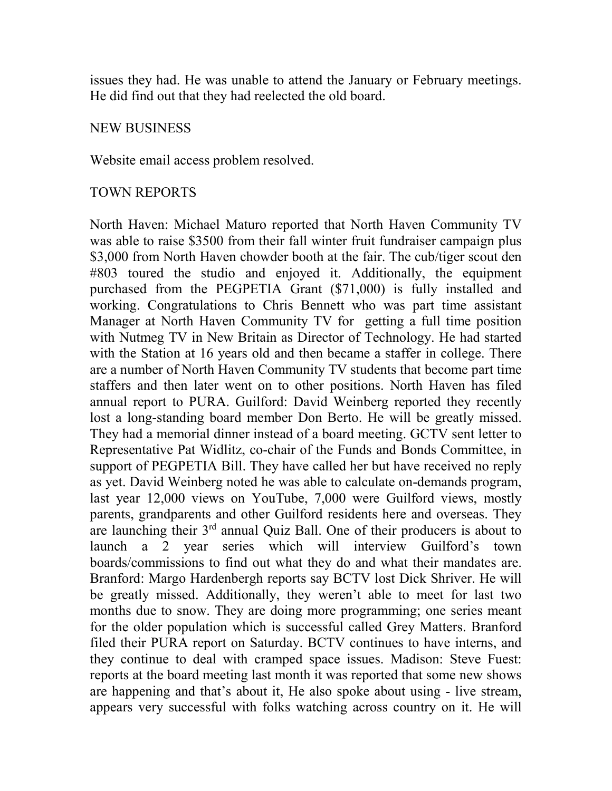issues they had. He was unable to attend the January or February meetings. He did find out that they had reelected the old board.

#### NEW BUSINESS

Website email access problem resolved.

#### TOWN REPORTS

North Haven: Michael Maturo reported that North Haven Community TV was able to raise \$3500 from their fall winter fruit fundraiser campaign plus \$3,000 from North Haven chowder booth at the fair. The cub/tiger scout den #803 toured the studio and enjoyed it. Additionally, the equipment purchased from the PEGPETIA Grant (\$71,000) is fully installed and working. Congratulations to Chris Bennett who was part time assistant Manager at North Haven Community TV for getting a full time position with Nutmeg TV in New Britain as Director of Technology. He had started with the Station at 16 years old and then became a staffer in college. There are a number of North Haven Community TV students that become part time staffers and then later went on to other positions. North Haven has filed annual report to PURA. Guilford: David Weinberg reported they recently lost a long-standing board member Don Berto. He will be greatly missed. They had a memorial dinner instead of a board meeting. GCTV sent letter to Representative Pat Widlitz, co-chair of the Funds and Bonds Committee, in support of PEGPETIA Bill. They have called her but have received no reply as yet. David Weinberg noted he was able to calculate on-demands program, last year 12,000 views on YouTube, 7,000 were Guilford views, mostly parents, grandparents and other Guilford residents here and overseas. They are launching their 3rd annual Quiz Ball. One of their producers is about to launch a 2 year series which will interview Guilford's town boards/commissions to find out what they do and what their mandates are. Branford: Margo Hardenbergh reports say BCTV lost Dick Shriver. He will be greatly missed. Additionally, they weren't able to meet for last two months due to snow. They are doing more programming; one series meant for the older population which is successful called Grey Matters. Branford filed their PURA report on Saturday. BCTV continues to have interns, and they continue to deal with cramped space issues. Madison: Steve Fuest: reports at the board meeting last month it was reported that some new shows are happening and that's about it, He also spoke about using - live stream, appears very successful with folks watching across country on it. He will